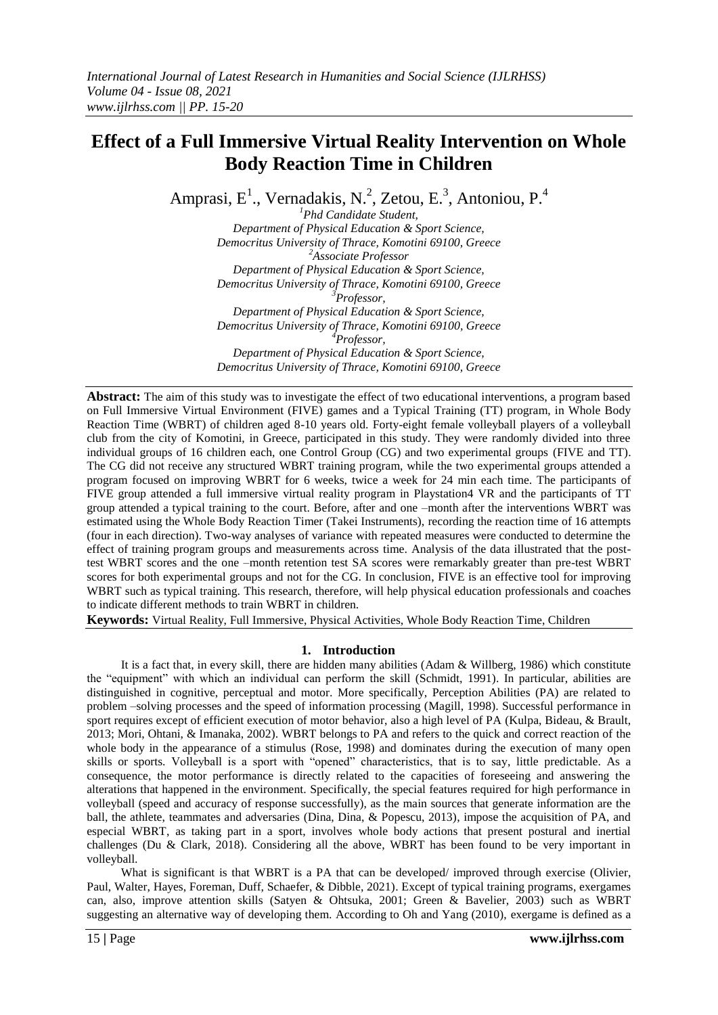# **Effect of a Full Immersive Virtual Reality Intervention on Whole Body Reaction Time in Children**

Amprasi, E<sup>1</sup>., Vernadakis, N.<sup>2</sup>, Zetou, E.<sup>3</sup>, Antoniou, P.<sup>4</sup>

*<sup>1</sup>Phd Candidate Student, Department of Physical Education & Sport Science, Democritus University of Thrace, Komotini 69100, Greece <sup>2</sup>Associate Professor Department of Physical Education & Sport Science, Democritus University of Thrace, Komotini 69100, Greece <sup>3</sup>Professor, Department of Physical Education & Sport Science, Democritus University of Thrace, Komotini 69100, Greece <sup>4</sup>Professor, Department of Physical Education & Sport Science, Democritus University of Thrace, Komotini 69100, Greece*

**Abstract:** The aim of this study was to investigate the effect of two educational interventions, a program based on Full Immersive Virtual Environment (FIVE) games and a Typical Training (TT) program, in Whole Body Reaction Time (WBRT) of children aged 8-10 years old. Forty-eight female volleyball players of a volleyball club from the city of Komotini, in Greece, participated in this study. They were randomly divided into three individual groups of 16 children each, one Control Group (CG) and two experimental groups (FIVE and TT). The CG did not receive any structured WBRT training program, while the two experimental groups attended a program focused on improving WBRT for 6 weeks, twice a week for 24 min each time. The participants of FIVE group attended a full immersive virtual reality program in Playstation4 VR and the participants of TT group attended a typical training to the court. Before, after and one –month after the interventions WBRT was estimated using the Whole Body Reaction Timer (Takei Instruments), recording the reaction time of 16 attempts (four in each direction). Two-way analyses of variance with repeated measures were conducted to determine the effect of training program groups and measurements across time. Analysis of the data illustrated that the posttest WBRT scores and the one –month retention test SA scores were remarkably greater than pre-test WBRT scores for both experimental groups and not for the CG. In conclusion, FIVE is an effective tool for improving WBRT such as typical training. This research, therefore, will help physical education professionals and coaches to indicate different methods to train WBRT in children.

**Keywords:** Virtual Reality, Full Immersive, Physical Activities, Whole Body Reaction Time, Children

## **1. Introduction**

It is a fact that, in every skill, there are hidden many abilities (Adam & Willberg, 1986) which constitute the "equipment" with which an individual can perform the skill (Schmidt, 1991). In particular, abilities are distinguished in cognitive, perceptual and motor. More specifically, Perception Abilities (PA) are related to problem –solving processes and the speed of information processing (Magill, 1998). Successful performance in sport requires except of efficient execution of motor behavior, also a high level of PA (Kulpa, Bideau, & Brault, 2013; Mori, Ohtani, & Imanaka, 2002). WBRT belongs to PA and refers to the quick and correct reaction of the whole body in the appearance of a stimulus (Rose, 1998) and dominates during the execution of many open skills or sports. Volleyball is a sport with "opened" characteristics, that is to say, little predictable. As a consequence, the motor performance is directly related to the capacities of foreseeing and answering the alterations that happened in the environment. Specifically, the special features required for high performance in volleyball (speed and accuracy of response successfully), as the main sources that generate information are the ball, the athlete, teammates and adversaries (Dina, Dina, & Popescu, 2013), impose the acquisition of PA, and especial WBRT, as taking part in a sport, involves whole body actions that present postural and inertial challenges (Du & Clark, 2018). Considering all the above, WBRT has been found to be very important in volleyball.

What is significant is that WBRT is a PA that can be developed/ improved through exercise (Olivier, Paul, Walter, Hayes, Foreman, Duff, Schaefer, & Dibble, 2021). Except of typical training programs, exergames can, also, improve attention skills (Satyen & Ohtsuka, 2001; Green & Bavelier, 2003) such as WBRT suggesting an alternative way of developing them. According to Oh and Yang (2010), exergame is defined as a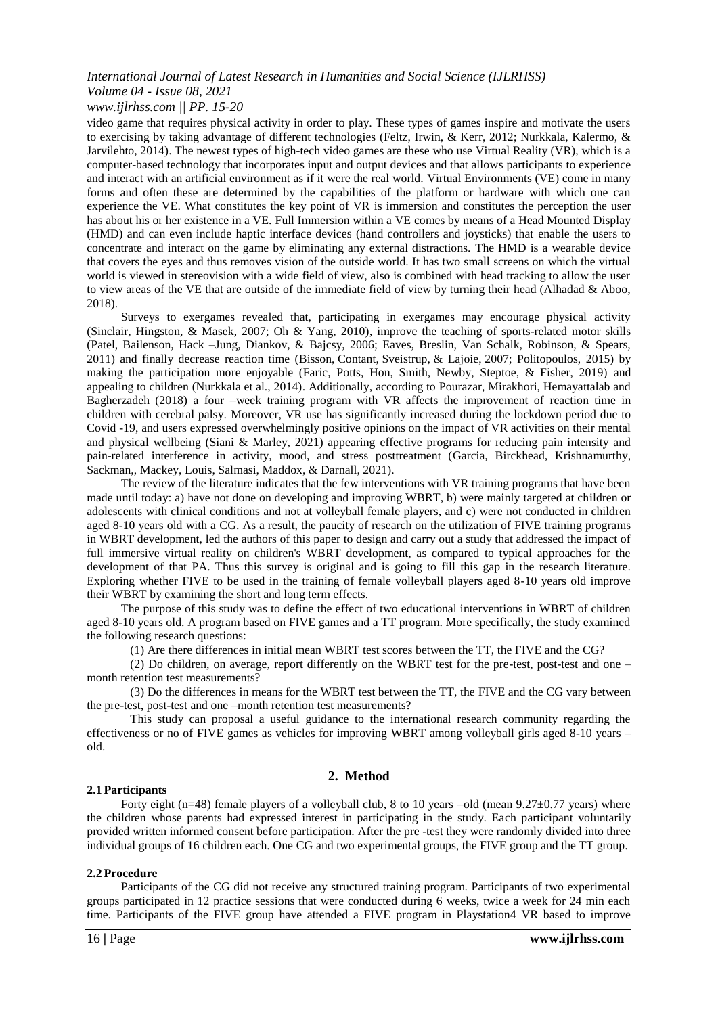### *International Journal of Latest Research in Humanities and Social Science (IJLRHSS) Volume 04 - Issue 08, 2021 www.ijlrhss.com || PP. 15-20*

video game that requires physical activity in order to play. These types of games inspire and motivate the users to exercising by taking advantage of different technologies (Feltz, Irwin, & Kerr, 2012; Nurkkala, Kalermo, & Jarvilehto, 2014). The newest types of high-tech video games are these who use Virtual Reality (VR), which is a computer-based technology that incorporates input and output devices and that allows participants to experience and interact with an artificial environment as if it were the real world. Virtual Environments (VE) come in many forms and often these are determined by the capabilities of the platform or hardware with which one can experience the VE. What constitutes the key point of VR is immersion and constitutes the perception the user has about his or her existence in a VE. Full Immersion within a VE comes by means of a Head Mounted Display (HMD) and can even include haptic interface devices (hand controllers and joysticks) that enable the users to concentrate and interact on the game by eliminating any external distractions. The HMD is a wearable device that covers the eyes and thus removes vision of the outside world. It has two small screens on which the virtual world is viewed in stereovision with a wide field of view, also is combined with head tracking to allow the user to view areas of the VE that are outside of the immediate field of view by turning their head (Alhadad & Aboo, 2018).

Surveys to exergames revealed that, participating in exergames may encourage physical activity (Sinclair, Hingston, & Masek, 2007; Oh & Yang, 2010), improve the teaching of sports-related motor skills (Patel, Bailenson, Hack –Jung, Diankov, & Bajcsy, 2006; Eaves, Breslin, Van Schalk, Robinson, & Spears, 2011) and finally decrease reaction time (Bisson, Contant, Sveistrup, & Lajoie, 2007; Politopoulos, 2015) by making the participation more enjoyable (Faric, Potts, Hon, Smith, Newby, Steptoe, & Fisher, 2019) and appealing to children (Nurkkala et al., 2014). Additionally, according to Pourazar, Mirakhori, Hemayattalab and Bagherzadeh (2018) a four –week training program with VR affects the improvement of reaction time in children with cerebral palsy. Moreover, VR use has significantly increased during the lockdown period due to Covid -19, and users expressed overwhelmingly positive opinions on the impact of VR activities on their mental and physical wellbeing (Siani & Marley, 2021) appearing effective programs for reducing pain intensity and pain-related interference in activity, mood, and stress posttreatment (Garcia, Birckhead, Krishnamurthy, Sackman,, Mackey, Louis, Salmasi, Maddox, & Darnall, 2021).

The review of the literature indicates that the few interventions with VR training programs that have been made until today: a) have not done on developing and improving WBRT, b) were mainly targeted at children or adolescents with clinical conditions and not at volleyball female players, and c) were not conducted in children aged 8-10 years old with a CG. As a result, the paucity of research on the utilization of FIVE training programs in WBRT development, led the authors of this paper to design and carry out a study that addressed the impact of full immersive virtual reality on children's WBRT development, as compared to typical approaches for the development of that PA. Thus this survey is original and is going to fill this gap in the research literature. Exploring whether FIVE to be used in the training of female volleyball players aged 8-10 years old improve their WBRT by examining the short and long term effects.

The purpose of this study was to define the effect of two educational interventions in WBRT of children aged 8-10 years old. A program based on FIVE games and a TT program. More specifically, the study examined the following research questions:

(1) Are there differences in initial mean WBRT test scores between the TT, the FIVE and the CG?

(2) Do children, on average, report differently on the WBRT test for the pre-test, post-test and one – month retention test measurements?

(3) Do the differences in means for the WBRT test between the TT, the FIVE and the CG vary between the pre-test, post-test and one –month retention test measurements?

This study can proposal a useful guidance to the international research community regarding the effectiveness or no of FIVE games as vehicles for improving WBRT among volleyball girls aged 8-10 years – old.

## **2. Method**

#### **2.1 Participants**

Forty eight (n=48) female players of a volleyball club, 8 to 10 years –old (mean 9.27±0.77 years) where the children whose parents had expressed interest in participating in the study. Each participant voluntarily provided written informed consent before participation. After the pre -test they were randomly divided into three individual groups of 16 children each. One CG and two experimental groups, the FIVE group and the TT group.

#### **2.2 Procedure**

Participants of the CG did not receive any structured training program. Participants of two experimental groups participated in 12 practice sessions that were conducted during 6 weeks, twice a week for 24 min each time. Participants of the FIVE group have attended a FIVE program in Playstation4 VR based to improve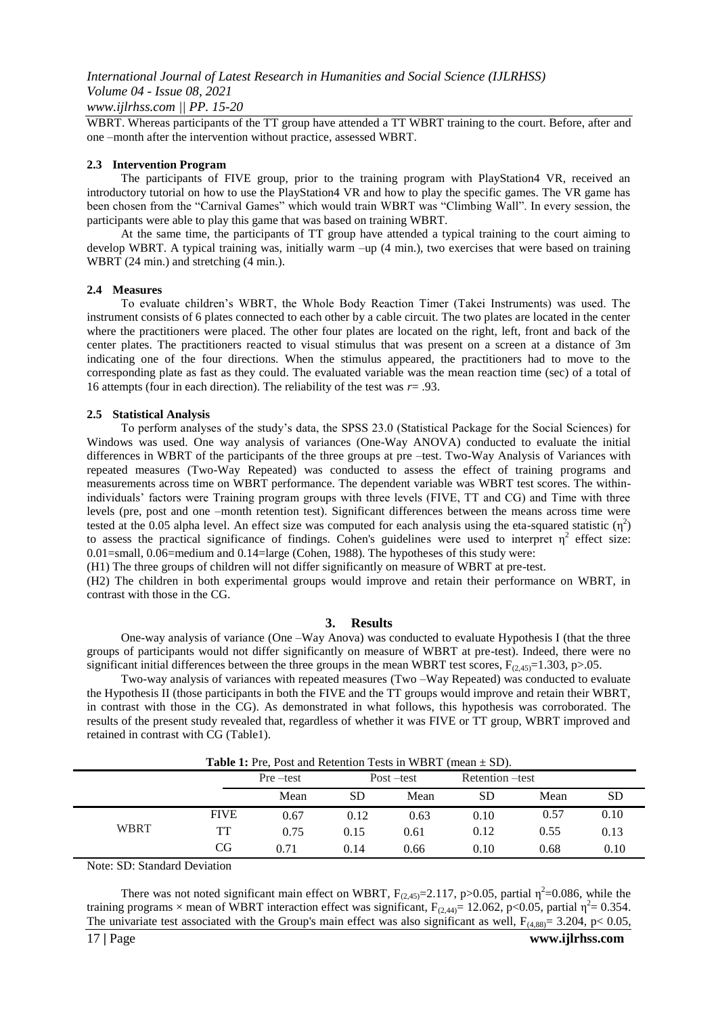WBRT. Whereas participants of the TT group have attended a TT WBRT training to the court. Before, after and one –month after the intervention without practice, assessed WBRT.

#### **2.3 Intervention Program**

The participants of FIVE group, prior to the training program with PlayStation4 VR, received an introductory tutorial on how to use the PlayStation4 VR and how to play the specific games. The VR game has been chosen from the "Carnival Games" which would train WBRT was "Climbing Wall". In every session, the participants were able to play this game that was based on training WBRT.

At the same time, the participants of TT group have attended a typical training to the court aiming to develop WBRT. A typical training was, initially warm –up (4 min.), two exercises that were based on training WBRT (24 min.) and stretching (4 min.).

#### **2.4 Measures**

To evaluate children's WBRT, the Whole Body Reaction Timer (Takei Instruments) was used. The instrument consists of 6 plates connected to each other by a cable circuit. The two plates are located in the center where the practitioners were placed. The other four plates are located on the right, left, front and back of the center plates. The practitioners reacted to visual stimulus that was present on a screen at a distance of 3m indicating one of the four directions. When the stimulus appeared, the practitioners had to move to the corresponding plate as fast as they could. The evaluated variable was the mean reaction time (sec) of a total of 16 attempts (four in each direction). The reliability of the test was *r*= .93.

#### **2.5 Statistical Analysis**

To perform analyses of the study's data, the SPSS 23.0 (Statistical Package for the Social Sciences) for Windows was used. One way analysis of variances (One-Way ANOVA) conducted to evaluate the initial differences in WBRT of the participants of the three groups at pre –test. Two-Way Analysis of Variances with repeated measures (Two-Way Repeated) was conducted to assess the effect of training programs and measurements across time on WBRT performance. The dependent variable was WBRT test scores. The withinindividuals' factors were Training program groups with three levels (FIVE, TT and CG) and Time with three levels (pre, post and one –month retention test). Significant differences between the means across time were tested at the 0.05 alpha level. An effect size was computed for each analysis using the eta-squared statistic  $(\eta^2)$ to assess the practical significance of findings. Cohen's guidelines were used to interpret  $\eta^2$  effect size: 0.01=small, 0.06=medium and 0.14=large (Cohen, 1988). The hypotheses of this study were:

(H1) The three groups of children will not differ significantly on measure of WBRT at pre-test.

(H2) The children in both experimental groups would improve and retain their performance on WBRT, in contrast with those in the CG.

#### **3. Results**

One-way analysis of variance (One –Way Anova) was conducted to evaluate Hypothesis I (that the three groups of participants would not differ significantly on measure of WBRT at pre-test). Indeed, there were no significant initial differences between the three groups in the mean WBRT test scores,  $F_{(2,45)}=1.303$ , p>.05.

Two-way analysis of variances with repeated measures (Two –Way Repeated) was conducted to evaluate the Hypothesis II (those participants in both the FIVE and the TT groups would improve and retain their WBRT, in contrast with those in the CG). As demonstrated in what follows, this hypothesis was corroborated. The results of the present study revealed that, regardless of whether it was FIVE or TT group, WBRT improved and retained in contrast with CG (Table1).

|             |             | Pre —test | <b>Table 1:</b> Pre, Post and Retention Tests in WBRT (mean $\pm$ SD).<br>Post –test |      | Retention –test |      |           |
|-------------|-------------|-----------|--------------------------------------------------------------------------------------|------|-----------------|------|-----------|
|             |             | Mean      | <b>SD</b>                                                                            | Mean | SD              | Mean | <b>SD</b> |
| <b>WBRT</b> | <b>FIVE</b> | 0.67      | 0.12                                                                                 | 0.63 | 0.10            | 0.57 | 0.10      |
|             | TT          | 0.75      | 0.15                                                                                 | 0.61 | 0.12            | 0.55 | 0.13      |
|             | CG          | 0.71      | 0.14                                                                                 | 0.66 | 0.10            | 0.68 | 0.10      |

Table 1: Pre, Post and Retention Tests in WBRT (mean  $\pm$  SD).

Note: SD: Standard Deviation

There was not noted significant main effect on WBRT,  $F_{(2,45)} = 2.117$ , p $> 0.05$ , partial  $\eta^2 = 0.086$ , while the training programs  $\times$  mean of WBRT interaction effect was significant,  $F_{(2,44)} = 12.062$ , p<0.05, partial  $\eta^2 = 0.354$ . The univariate test associated with the Group's main effect was also significant as well,  $F_{(4,88)} = 3.204$ , p< 0.05,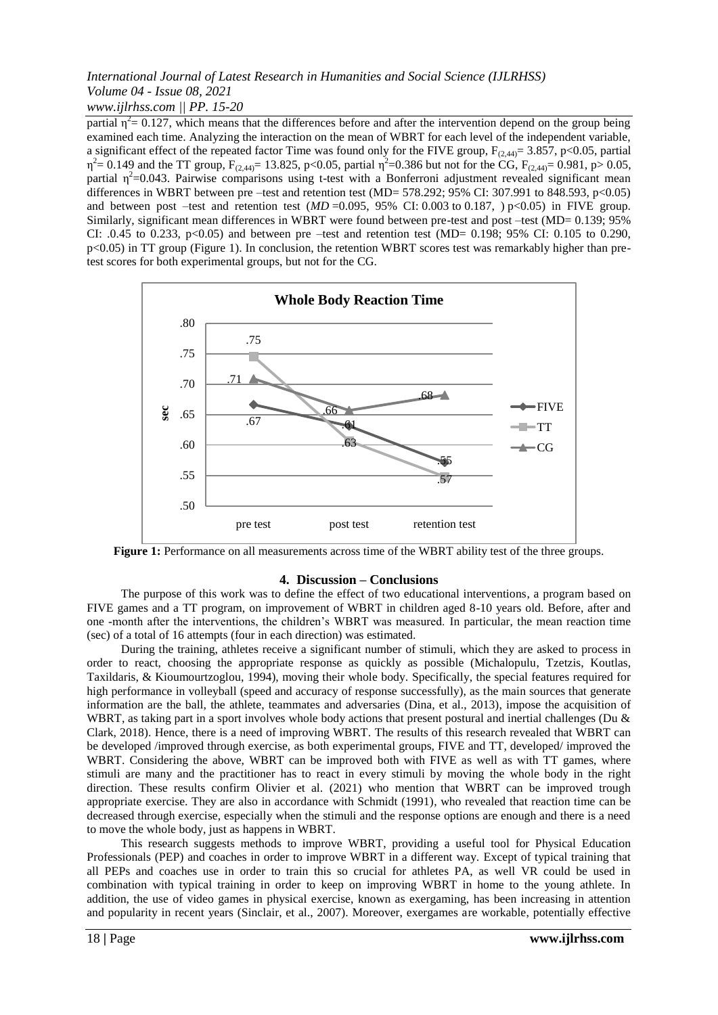## *International Journal of Latest Research in Humanities and Social Science (IJLRHSS) Volume 04 - Issue 08, 2021 www.ijlrhss.com || PP. 15-20*

partial  $\eta^2$  = 0.127, which means that the differences before and after the intervention depend on the group being examined each time. Analyzing the interaction on the mean of WBRT for each level of the independent variable, a significant effect of the repeated factor Time was found only for the FIVE group,  $F_{(2,44)} = 3.857$ , p<0.05, partial  $\eta^2$  = 0.149 and the TT group,  $F_{(2,44)}$  = 13.825, p < 0.05, partial  $\eta^2$  = 0.386 but not for the CG,  $F_{(2,44)}$  = 0.981, p > 0.05, partial  $\eta^2$ =0.043. Pairwise comparisons using t-test with a Bonferroni adjustment revealed significant mean differences in WBRT between pre –test and retention test (MD= 578.292; 95% CI: 307.991 to 848.593, p<0.05) and between post –test and retention test  $(MD = 0.095, 95\% \text{ CI}$ : 0.003 to 0.187, ) p<0.05) in FIVE group. Similarly, significant mean differences in WBRT were found between pre-test and post –test (MD= 0.139; 95% CI: .0.45 to 0.233,  $p<0.05$ ) and between pre –test and retention test (MD= 0.198; 95% CI: 0.105 to 0.290, p<0.05) in TT group (Figure 1). In conclusion, the retention WBRT scores test was remarkably higher than pretest scores for both experimental groups, but not for the CG.



**Figure 1:** Performance on all measurements across time of the WBRT ability test of the three groups.

## **4. Discussion – Conclusions**

The purpose of this work was to define the effect of two educational interventions, a program based on FIVE games and a TT program, on improvement of WBRT in children aged 8-10 years old. Before, after and one -month after the interventions, the children's WBRT was measured. In particular, the mean reaction time (sec) of a total of 16 attempts (four in each direction) was estimated.

During the training, athletes receive a significant number of stimuli, which they are asked to process in order to react, choosing the appropriate response as quickly as possible (Michalopulu, Tzetzis, Koutlas, Taxildaris, & Kioumourtzoglou, 1994), moving their whole body. Specifically, the special features required for high performance in volleyball (speed and accuracy of response successfully), as the main sources that generate information are the ball, the athlete, teammates and adversaries (Dina, et al., 2013), impose the acquisition of WBRT, as taking part in a sport involves whole body actions that present postural and inertial challenges (Du & Clark, 2018). Hence, there is a need of improving WBRT. The results of this research revealed that WBRT can be developed /improved through exercise, as both experimental groups, FIVE and TT, developed/ improved the WBRT. Considering the above, WBRT can be improved both with FIVE as well as with TT games, where stimuli are many and the practitioner has to react in every stimuli by moving the whole body in the right direction. These results confirm Olivier et al. (2021) who mention that WBRT can be improved trough appropriate exercise. They are also in accordance with Schmidt (1991), who revealed that reaction time can be decreased through exercise, especially when the stimuli and the response options are enough and there is a need to move the whole body, just as happens in WBRT.

This research suggests methods to improve WBRT, providing a useful tool for Physical Education Professionals (PEP) and coaches in order to improve WBRT in a different way. Except of typical training that all PEPs and coaches use in order to train this so crucial for athletes PA, as well VR could be used in combination with typical training in order to keep on improving WBRT in home to the young athlete. In addition, the use of video games in physical exercise, known as exergaming, has been increasing in attention and popularity in recent years (Sinclair, et al., 2007). Moreover, exergames are workable, potentially effective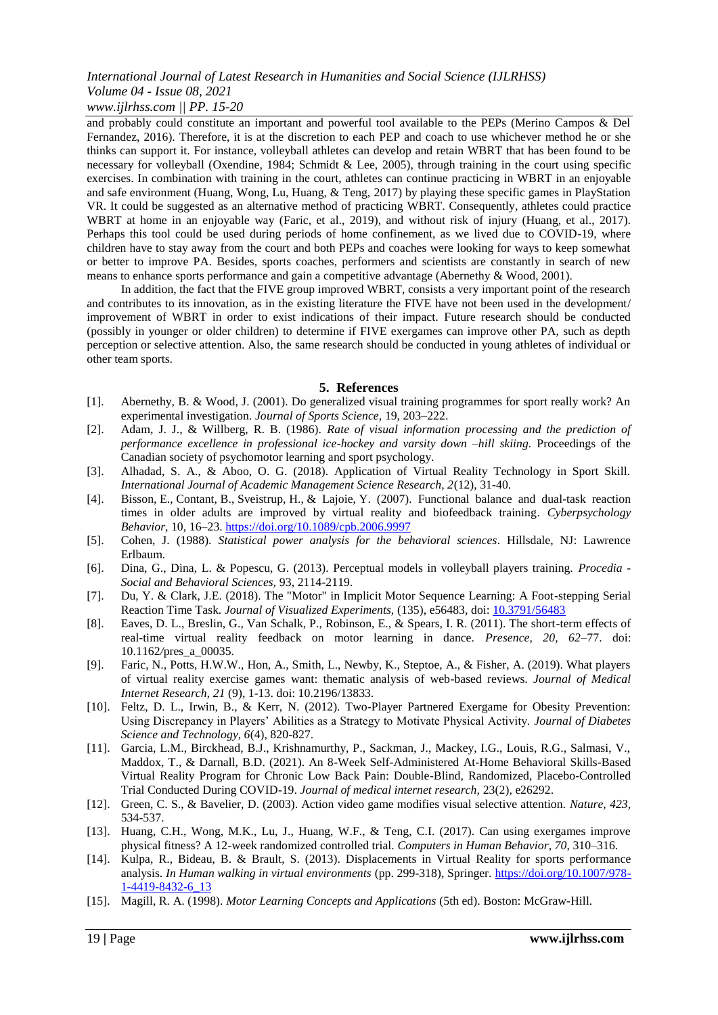## *International Journal of Latest Research in Humanities and Social Science (IJLRHSS) Volume 04 - Issue 08, 2021*

## *www.ijlrhss.com || PP. 15-20*

and probably could constitute an important and powerful tool available to the PEPs (Merino Campos & Del Fernandez, 2016). Therefore, it is at the discretion to each PEP and coach to use whichever method he or she thinks can support it. For instance, volleyball athletes can develop and retain WBRT that has been found to be necessary for volleyball (Oxendine, 1984; Schmidt & Lee, 2005), through training in the court using specific exercises. In combination with training in the court, athletes can continue practicing in WBRT in an enjoyable and safe environment (Huang, Wong, Lu, Huang, & Teng, 2017) by playing these specific games in PlayStation VR. It could be suggested as an alternative method of practicing WBRT. Consequently, athletes could practice WBRT at home in an enjoyable way (Faric, et al., 2019), and without risk of injury (Huang, et al., 2017). Perhaps this tool could be used during periods of home confinement, as we lived due to COVID-19, where children have to stay away from the court and both PEPs and coaches were looking for ways to keep somewhat or better to improve PA. Besides, sports coaches, performers and scientists are constantly in search of new means to enhance sports performance and gain a competitive advantage (Abernethy & Wood, 2001).

In addition, the fact that the FIVE group improved WBRT, consists a very important point of the research and contributes to its innovation, as in the existing literature the FIVE have not been used in the development/ improvement of WBRT in order to exist indications of their impact. Future research should be conducted (possibly in younger or older children) to determine if FIVE exergames can improve other PA, such as depth perception or selective attention. Also, the same research should be conducted in young athletes of individual or other team sports.

## **5. References**

- [1]. Abernethy, B. & Wood, J. (2001). Do generalized visual training programmes for sport really work? An experimental investigation. *Journal of Sports Science,* 19, 203–222.
- [2]. Adam, J. J., & Willberg, R. B. (1986). *Rate of visual information processing and the prediction of performance excellence in professional ice-hockey and varsity down –hill skiing.* Proceedings of the Canadian society of psychomotor learning and sport psychology.
- [3]. Alhadad, S. A., & Aboo, O. G. (2018). Application of Virtual Reality Technology in Sport Skill. *International Journal of Academic Management Science Research, 2*(12), 31-40.
- [4]. Bisson, E., Contant, B., Sveistrup, H., & Lajoie, Y. (2007). Functional balance and dual-task reaction times in older adults are improved by virtual reality and biofeedback training. *Cyberpsychology Behavior*, 10, 16–23.<https://doi.org/10.1089/cpb.2006.9997>
- [5]. Cohen, J. (1988). *Statistical power analysis for the behavioral sciences*. Hillsdale, NJ: Lawrence Erlbaum.
- [6]. Dina, G., Dina, L. & Popescu, G. (2013). Perceptual models in volleyball players training. *Procedia - Social and Behavioral Sciences,* 93, 2114-2119.
- [7]. Du, Y. & Clark, J.E. (2018). The "Motor" in Implicit Motor Sequence Learning: A Foot-stepping Serial Reaction Time Task. *Journal of Visualized Experiments,* (135), e56483, doi: [10.3791/56483](https://dx.doi.org/10.3791/56483)
- [8]. Eaves, D. L., Breslin, G., Van Schalk, P., Robinson, E., & Spears, I. R. (2011). The short-term effects of real-time virtual reality feedback on motor learning in dance. *Presence, 20, 62*–77. doi: 10.1162*/*pres\_a\_00035.
- [9]. Faric, N., Potts, H.W.W., Hon, A., Smith, L., Newby, K., Steptoe, A., & Fisher, A. (2019). What players of virtual reality exercise games want: thematic analysis of web-based reviews. *Journal of Medical Internet Research*, *21* (9), 1-13. doi: 10.2196/13833.
- [10]. Feltz, D. L., Irwin, B., & Kerr, N. (2012). Two-Player Partnered Exergame for Obesity Prevention: Using Discrepancy in Players' Abilities as a Strategy to Motivate Physical Activity. *Journal of Diabetes Science and Technology, 6*(4), 820-827.
- [11]. Garcia, L.M., Birckhead, B.J., Krishnamurthy, P., Sackman, J., Mackey, I.G., Louis, R.G., Salmasi, V., Maddox, T., & Darnall, B.D. (2021). An 8-Week Self-Administered At-Home Behavioral Skills-Based Virtual Reality Program for Chronic Low Back Pain: Double-Blind, Randomized, Placebo-Controlled Trial Conducted During COVID-19. *Journal of medical internet research,* 23(2), e26292.
- [12]. Green, C. S., & Bavelier, D. (2003). Action video game modifies visual selective attention. *Nature, 423,*  534-537.
- [13]. Huang, C.H., Wong, M.K., Lu, J., Huang, W.F., & Teng, C.I. (2017). Can using exergames improve physical fitness? A 12-week randomized controlled trial. *Computers in Human Behavior*, *70*, 310–316.
- [14]. Kulpa, R., Bideau, B. & Brault, S. (2013). Displacements in Virtual Reality for sports performance analysis. *In Human walking in virtual environments* (pp. 299-318), Springer. [https://doi.org/10.1007/978-](https://doi.org/10.1007/978-1-4419-8432-6_13) [1-4419-8432-6\\_13](https://doi.org/10.1007/978-1-4419-8432-6_13)
- [15]. Magill, R. A. (1998). *Motor Learning Concepts and Applications* (5th ed). Boston: McGraw-Hill.